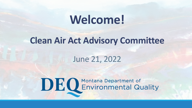### **Welcome!**

#### **Clean Air Act Advisory Committee**

#### June 21, 2022

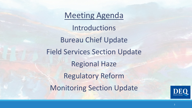Meeting Agenda Introductions Bureau Chief Update Field Services Section Update Regional Haze Regulatory Reform Monitoring Section Update

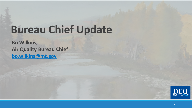### **Bureau Chief Update**

**Bo Wilkins, Air Quality Bureau Chief bo.wilkins@mt.gov** 

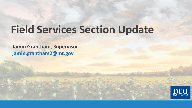# **Field Services Section Update**

**Jamin Grantham, Supervisor jamin.grantham2@mt.gov** 

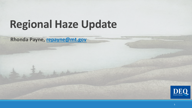# **Regional Haze Update**

**Rhonda Payne, repayne@mt.gov**

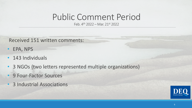### Public Comment Period

Feb. 4th 2022 – Mar. 21st 2022

Received 151 written comments:

- EPA, NPS
- 143 Individuals
- 3 NGOs (two letters represented multiple organizations)
- 9 Four-Factor Sources
- 3 Industrial Associations

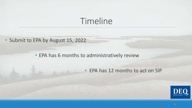### Timeline

• Submit to EPA by August 15, 2022

• EPA has 6 months to administratively review

• EPA has 12 months to act on SIP

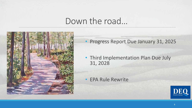#### Down the road…



- Progress Report Due January 31, 2025
- Third Implementation Plan Due July 31, 2028

• EPA Rule Rewrite

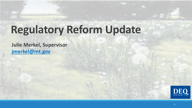### **Regulatory Reform Update**

**Julie Merkel, Supervisor jmerkel@mt.gov** 

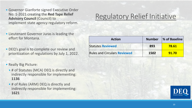- Governor Gianforte signed Executive Order No. 1-2021 creating the **Red Tape Relief Advisory Council** (Council) to implement state agency regulatory reform.
- Lieutenant Governor Juras is leading the effort for Montana.
- DEQ's goal is to complete our review and prioritization of regulations by July 1, 2022.
- Really Big Picture:
	- # of Statutes (MCA) DEQ is directly and indirectly responsible for implementing: **1136**
	- # of Rules (ARM) DEQ is directly and indirectly responsible for implementing: **1621**

#### Regulatory Relief Initiative

| <b>Action</b>                       | <b>Number</b> | <b>1% of Baseline</b> |
|-------------------------------------|---------------|-----------------------|
| <b>Statutes Reviewed</b>            | 893           | 78.61                 |
| <b>Rules and Circulars Reviewed</b> | 1502          | 91.70                 |

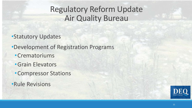#### Regulatory Reform Update Air Quality Bureau

•Statutory Updates

- •Development of Registration Programs
	- •Crematoriums
	- •Grain Elevators
	- •Compressor Stations
- •Rule Revisions

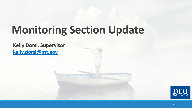# **Monitoring Section Update**

#### **Kelly Dorsi, Supervisor kelly.dorsi@mt.gov**

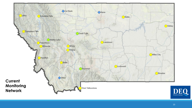

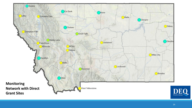

![](_page_13_Picture_1.jpeg)